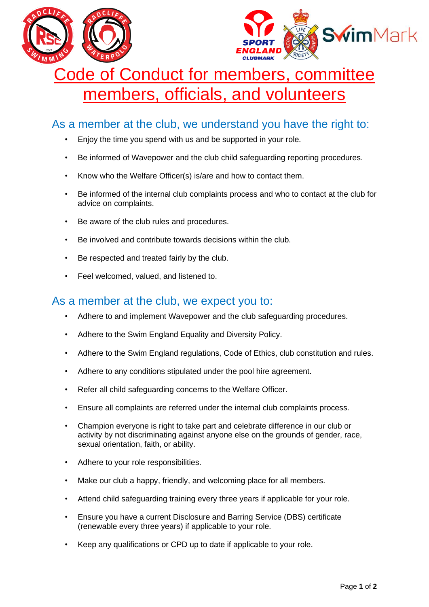



## Code of Conduct for members, committee members, officials, and volunteers

## As a member at the club, we understand you have the right to:

- Enjoy the time you spend with us and be supported in your role.
- Be informed of Wavepower and the club child safeguarding reporting procedures.
- Know who the Welfare Officer(s) is/are and how to contact them.
- Be informed of the internal club complaints process and who to contact at the club for advice on complaints.
- Be aware of the club rules and procedures.
- Be involved and contribute towards decisions within the club.
- Be respected and treated fairly by the club.
- Feel welcomed, valued, and listened to.

## As a member at the club, we expect you to:

- Adhere to and implement Wavepower and the club safeguarding procedures.
- Adhere to the Swim England Equality and Diversity Policy.
- Adhere to the Swim England regulations, Code of Ethics, club constitution and rules.
- Adhere to any conditions stipulated under the pool hire agreement.
- Refer all child safeguarding concerns to the Welfare Officer.
- Ensure all complaints are referred under the internal club complaints process.
- Champion everyone is right to take part and celebrate difference in our club or activity by not discriminating against anyone else on the grounds of gender, race, sexual orientation, faith, or ability.
- Adhere to your role responsibilities.
- Make our club a happy, friendly, and welcoming place for all members.
- Attend child safeguarding training every three years if applicable for your role.
- Ensure you have a current Disclosure and Barring Service (DBS) certificate (renewable every three years) if applicable to your role.
- Keep any qualifications or CPD up to date if applicable to your role.